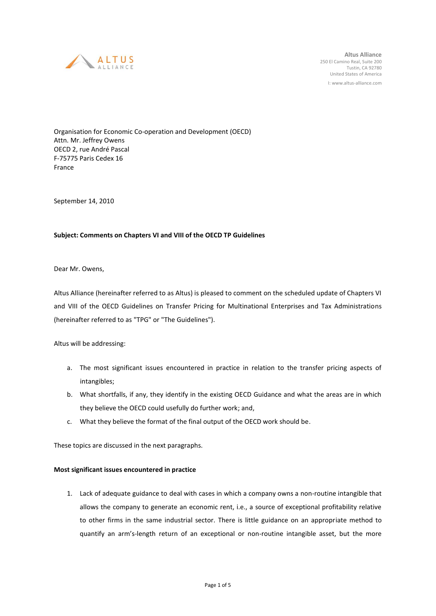

**Altus Alliance** 250 El Camino Real, Suite 200 Tustin, CA 92780 United States of America I: www.altus-alliance.com

Organisation for Economic Co-operation and Development (OECD) Attn. Mr. Jeffrey Owens OECD 2, rue André Pascal F-75775 Paris Cedex 16 France

September 14, 2010

## **Subject: Comments on Chapters VI and VIII of the OECD TP Guidelines**

Dear Mr. Owens,

Altus Alliance (hereinafter referred to as Altus) is pleased to comment on the scheduled update of Chapters VI and VIII of the OECD Guidelines on Transfer Pricing for Multinational Enterprises and Tax Administrations (hereinafter referred to as "TPG" or "The Guidelines").

Altus will be addressing:

- a. The most significant issues encountered in practice in relation to the transfer pricing aspects of intangibles;
- b. What shortfalls, if any, they identify in the existing OECD Guidance and what the areas are in which they believe the OECD could usefully do further work; and,
- c. What they believe the format of the final output of the OECD work should be.

These topics are discussed in the next paragraphs.

## **Most significant issues encountered in practice**

1. Lack of adequate guidance to deal with cases in which a company owns a non-routine intangible that allows the company to generate an economic rent, i.e., a source of exceptional profitability relative to other firms in the same industrial sector. There is little guidance on an appropriate method to quantify an arm's-length return of an exceptional or non-routine intangible asset, but the more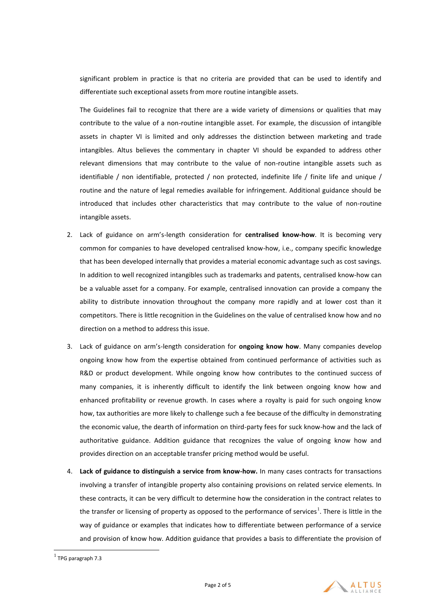significant problem in practice is that no criteria are provided that can be used to identify and differentiate such exceptional assets from more routine intangible assets.

The Guidelines fail to recognize that there are a wide variety of dimensions or qualities that may contribute to the value of a non-routine intangible asset. For example, the discussion of intangible assets in chapter VI is limited and only addresses the distinction between marketing and trade intangibles. Altus believes the commentary in chapter VI should be expanded to address other relevant dimensions that may contribute to the value of non-routine intangible assets such as identifiable / non identifiable, protected / non protected, indefinite life / finite life and unique / routine and the nature of legal remedies available for infringement. Additional guidance should be introduced that includes other characteristics that may contribute to the value of non-routine intangible assets.

- 2. Lack of guidance on arm's-length consideration for **centralised know-how**. It is becoming very common for companies to have developed centralised know-how, i.e., company specific knowledge that has been developed internally that provides a material economic advantage such as cost savings. In addition to well recognized intangibles such as trademarks and patents, centralised know-how can be a valuable asset for a company. For example, centralised innovation can provide a company the ability to distribute innovation throughout the company more rapidly and at lower cost than it competitors. There is little recognition in the Guidelines on the value of centralised know how and no direction on a method to address this issue.
- 3. Lack of guidance on arm's-length consideration for **ongoing know how**. Many companies develop ongoing know how from the expertise obtained from continued performance of activities such as R&D or product development. While ongoing know how contributes to the continued success of many companies, it is inherently difficult to identify the link between ongoing know how and enhanced profitability or revenue growth. In cases where a royalty is paid for such ongoing know how, tax authorities are more likely to challenge such a fee because of the difficulty in demonstrating the economic value, the dearth of information on third-party fees for suck know-how and the lack of authoritative guidance. Addition guidance that recognizes the value of ongoing know how and provides direction on an acceptable transfer pricing method would be useful.
- 4. **Lack of guidance to distinguish a service from know-how.** In many cases contracts for transactions involving a transfer of intangible property also containing provisions on related service elements. In these contracts, it can be very difficult to determine how the consideration in the contract relates to the transfer or licensing of property as opposed to the performance of services<sup>1</sup>. There is little in the way of guidance or examples that indicates how to differentiate between performance of a service and provision of know how. Addition guidance that provides a basis to differentiate the provision of

 $\overline{a}$ 



 $<sup>1</sup>$  TPG paragraph 7.3</sup>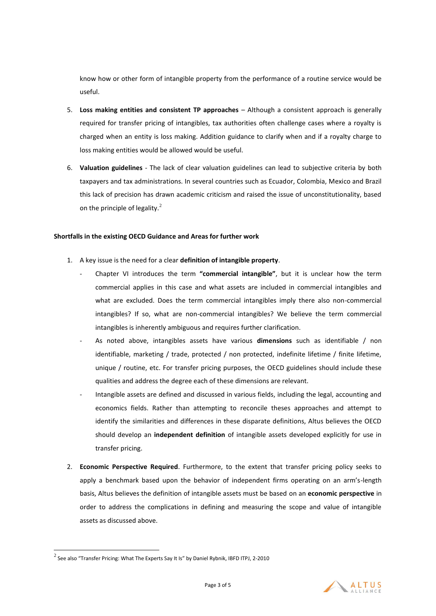know how or other form of intangible property from the performance of a routine service would be useful.

- 5. **Loss making entities and consistent TP approaches**  Although a consistent approach is generally required for transfer pricing of intangibles, tax authorities often challenge cases where a royalty is charged when an entity is loss making. Addition guidance to clarify when and if a royalty charge to loss making entities would be allowed would be useful.
- 6. **Valuation guidelines** The lack of clear valuation guidelines can lead to subjective criteria by both taxpayers and tax administrations. In several countries such as Ecuador, Colombia, Mexico and Brazil this lack of precision has drawn academic criticism and raised the issue of unconstitutionality, based on the principle of legality. $^{2}$

## **Shortfalls in the existing OECD Guidance and Areas for further work**

- 1. A key issue is the need for a clear **definition of intangible property**.
	- Chapter VI introduces the term **"commercial intangible"**, but it is unclear how the term commercial applies in this case and what assets are included in commercial intangibles and what are excluded. Does the term commercial intangibles imply there also non-commercial intangibles? If so, what are non-commercial intangibles? We believe the term commercial intangibles is inherently ambiguous and requires further clarification.
	- As noted above, intangibles assets have various **dimensions** such as identifiable / non identifiable, marketing / trade, protected / non protected, indefinite lifetime / finite lifetime, unique / routine, etc. For transfer pricing purposes, the OECD guidelines should include these qualities and address the degree each of these dimensions are relevant.
	- Intangible assets are defined and discussed in various fields, including the legal, accounting and economics fields. Rather than attempting to reconcile theses approaches and attempt to identify the similarities and differences in these disparate definitions, Altus believes the OECD should develop an **independent definition** of intangible assets developed explicitly for use in transfer pricing.
- 2. **Economic Perspective Required**. Furthermore, to the extent that transfer pricing policy seeks to apply a benchmark based upon the behavior of independent firms operating on an arm's-length basis, Altus believes the definition of intangible assets must be based on an **economic perspective** in order to address the complications in defining and measuring the scope and value of intangible assets as discussed above.

 $\overline{a}$ 



 $^2$  See also "Transfer Pricing: What The Experts Say It Is" by Daniel Rybnik, IBFD ITPJ, 2-2010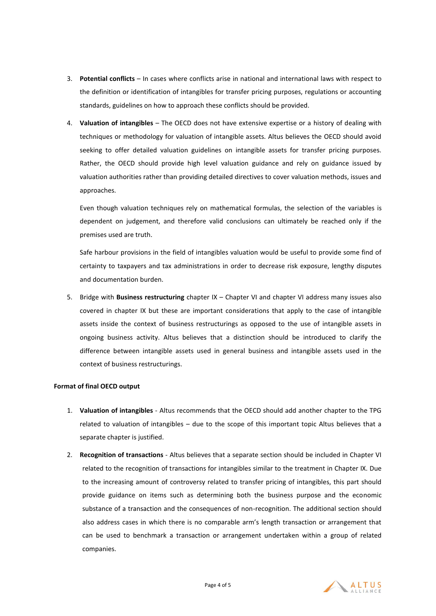- 3. **Potential conflicts**  In cases where conflicts arise in national and international laws with respect to the definition or identification of intangibles for transfer pricing purposes, regulations or accounting standards, guidelines on how to approach these conflicts should be provided.
- 4. **Valuation of intangibles** The OECD does not have extensive expertise or a history of dealing with techniques or methodology for valuation of intangible assets. Altus believes the OECD should avoid seeking to offer detailed valuation guidelines on intangible assets for transfer pricing purposes. Rather, the OECD should provide high level valuation guidance and rely on guidance issued by valuation authorities rather than providing detailed directives to cover valuation methods, issues and approaches.

Even though valuation techniques rely on mathematical formulas, the selection of the variables is dependent on judgement, and therefore valid conclusions can ultimately be reached only if the premises used are truth.

Safe harbour provisions in the field of intangibles valuation would be useful to provide some find of certainty to taxpayers and tax administrations in order to decrease risk exposure, lengthy disputes and documentation burden.

5. Bridge with **Business restructuring** chapter IX – Chapter VI and chapter VI address many issues also covered in chapter IX but these are important considerations that apply to the case of intangible assets inside the context of business restructurings as opposed to the use of intangible assets in ongoing business activity. Altus believes that a distinction should be introduced to clarify the difference between intangible assets used in general business and intangible assets used in the context of business restructurings.

## **Format of final OECD output**

- 1. **Valuation of intangibles** Altus recommends that the OECD should add another chapter to the TPG related to valuation of intangibles – due to the scope of this important topic Altus believes that a separate chapter is justified.
- 2. **Recognition of transactions** Altus believes that a separate section should be included in Chapter VI related to the recognition of transactions for intangibles similar to the treatment in Chapter IX. Due to the increasing amount of controversy related to transfer pricing of intangibles, this part should provide guidance on items such as determining both the business purpose and the economic substance of a transaction and the consequences of non-recognition. The additional section should also address cases in which there is no comparable arm's length transaction or arrangement that can be used to benchmark a transaction or arrangement undertaken within a group of related companies.